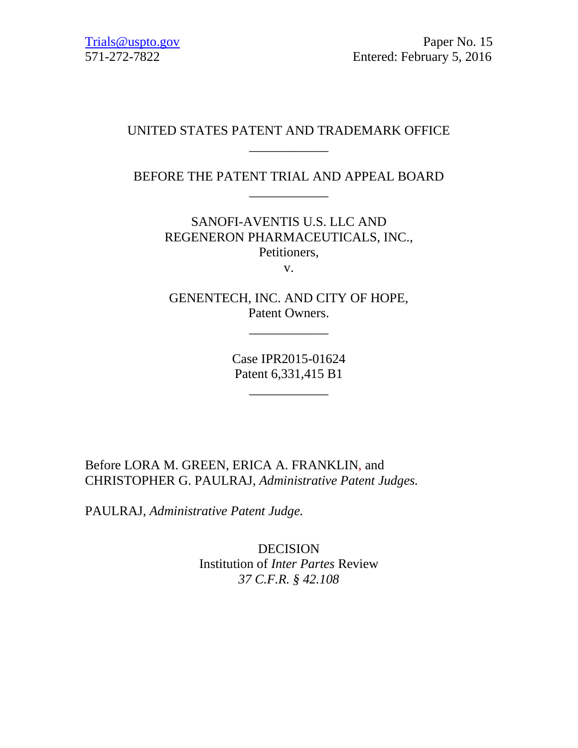## UNITED STATES PATENT AND TRADEMARK OFFICE \_\_\_\_\_\_\_\_\_\_\_\_

## BEFORE THE PATENT TRIAL AND APPEAL BOARD \_\_\_\_\_\_\_\_\_\_\_\_

SANOFI-AVENTIS U.S. LLC AND REGENERON PHARMACEUTICALS, INC., Petitioners,

v.

GENENTECH, INC. AND CITY OF HOPE, Patent Owners.

\_\_\_\_\_\_\_\_\_\_\_\_

Case IPR2015-01624 Patent 6,331,415 B1

\_\_\_\_\_\_\_\_\_\_\_\_

Before LORA M. GREEN, ERICA A. FRANKLIN, and CHRISTOPHER G. PAULRAJ, *Administrative Patent Judges.*

PAULRAJ, *Administrative Patent Judge.*

DECISION Institution of *Inter Partes* Review *37 C.F.R. § 42.108*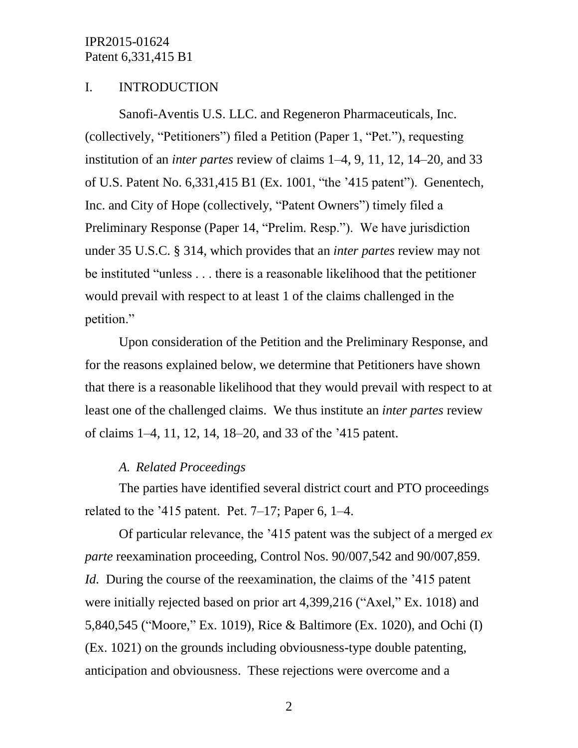## I. INTRODUCTION

Sanofi-Aventis U.S. LLC. and Regeneron Pharmaceuticals, Inc. (collectively, "Petitioners") filed a Petition (Paper 1, "Pet."), requesting institution of an *inter partes* review of claims 1–4, 9, 11, 12, 14–20, and 33 of U.S. Patent No. 6,331,415 B1 (Ex. 1001, "the '415 patent"). Genentech, Inc. and City of Hope (collectively, "Patent Owners") timely filed a Preliminary Response (Paper 14, "Prelim. Resp."). We have jurisdiction under 35 U.S.C. § 314, which provides that an *inter partes* review may not be instituted "unless . . . there is a reasonable likelihood that the petitioner would prevail with respect to at least 1 of the claims challenged in the petition."

Upon consideration of the Petition and the Preliminary Response, and for the reasons explained below, we determine that Petitioners have shown that there is a reasonable likelihood that they would prevail with respect to at least one of the challenged claims. We thus institute an *inter partes* review of claims 1–4, 11, 12, 14, 18–20, and 33 of the '415 patent.

### *A. Related Proceedings*

The parties have identified several district court and PTO proceedings related to the  $315$  patent. Pet. 7–17; Paper 6, 1–4.

Of particular relevance, the '415 patent was the subject of a merged *ex parte* reexamination proceeding, Control Nos. 90/007,542 and 90/007,859. *Id.* During the course of the reexamination, the claims of the '415 patent' were initially rejected based on prior art 4,399,216 ("Axel," Ex. 1018) and 5,840,545 ("Moore," Ex. 1019), Rice & Baltimore (Ex. 1020), and Ochi (I) (Ex. 1021) on the grounds including obviousness-type double patenting, anticipation and obviousness. These rejections were overcome and a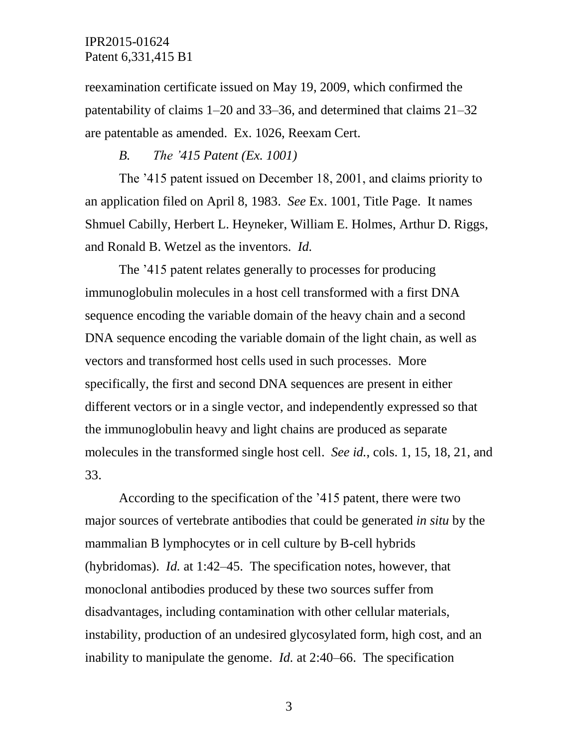reexamination certificate issued on May 19, 2009, which confirmed the patentability of claims 1–20 and 33–36, and determined that claims 21–32 are patentable as amended. Ex. 1026, Reexam Cert.

### *B. The '415 Patent (Ex. 1001)*

The '415 patent issued on December 18, 2001, and claims priority to an application filed on April 8, 1983. *See* Ex. 1001, Title Page. It names Shmuel Cabilly, Herbert L. Heyneker, William E. Holmes, Arthur D. Riggs, and Ronald B. Wetzel as the inventors. *Id.*

The '415 patent relates generally to processes for producing immunoglobulin molecules in a host cell transformed with a first DNA sequence encoding the variable domain of the heavy chain and a second DNA sequence encoding the variable domain of the light chain, as well as vectors and transformed host cells used in such processes. More specifically, the first and second DNA sequences are present in either different vectors or in a single vector, and independently expressed so that the immunoglobulin heavy and light chains are produced as separate molecules in the transformed single host cell. *See id.*, cols. 1, 15, 18, 21, and 33.

According to the specification of the '415 patent, there were two major sources of vertebrate antibodies that could be generated *in situ* by the mammalian B lymphocytes or in cell culture by B-cell hybrids (hybridomas). *Id.* at 1:42–45. The specification notes, however, that monoclonal antibodies produced by these two sources suffer from disadvantages, including contamination with other cellular materials, instability, production of an undesired glycosylated form, high cost, and an inability to manipulate the genome. *Id.* at 2:40–66. The specification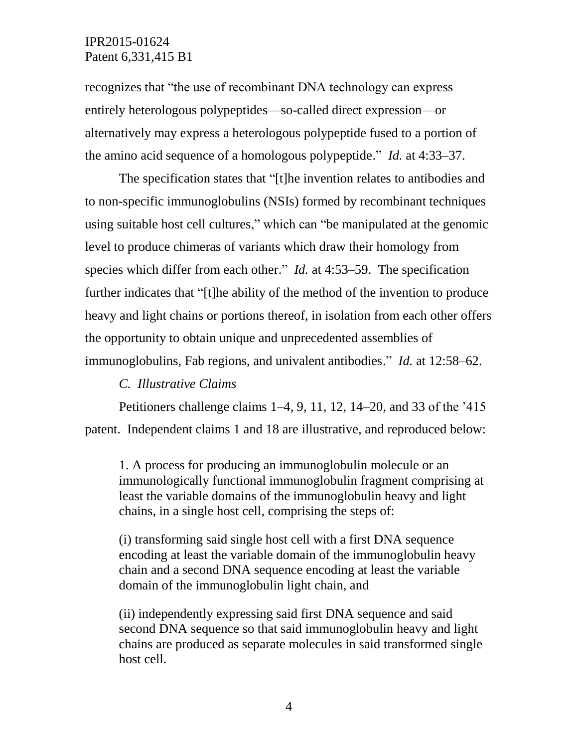recognizes that "the use of recombinant DNA technology can express entirely heterologous polypeptides—so-called direct expression—or alternatively may express a heterologous polypeptide fused to a portion of the amino acid sequence of a homologous polypeptide." *Id.* at 4:33–37.

The specification states that "[t]he invention relates to antibodies and to non-specific immunoglobulins (NSIs) formed by recombinant techniques using suitable host cell cultures," which can "be manipulated at the genomic level to produce chimeras of variants which draw their homology from species which differ from each other." *Id.* at 4:53–59. The specification further indicates that "[t]he ability of the method of the invention to produce heavy and light chains or portions thereof, in isolation from each other offers the opportunity to obtain unique and unprecedented assemblies of immunoglobulins, Fab regions, and univalent antibodies." *Id.* at 12:58–62.

### *C. Illustrative Claims*

Petitioners challenge claims 1–4, 9, 11, 12, 14–20, and 33 of the '415 patent. Independent claims 1 and 18 are illustrative, and reproduced below:

1. A process for producing an immunoglobulin molecule or an immunologically functional immunoglobulin fragment comprising at least the variable domains of the immunoglobulin heavy and light chains, in a single host cell, comprising the steps of:

(i) transforming said single host cell with a first DNA sequence encoding at least the variable domain of the immunoglobulin heavy chain and a second DNA sequence encoding at least the variable domain of the immunoglobulin light chain, and

(ii) independently expressing said first DNA sequence and said second DNA sequence so that said immunoglobulin heavy and light chains are produced as separate molecules in said transformed single host cell.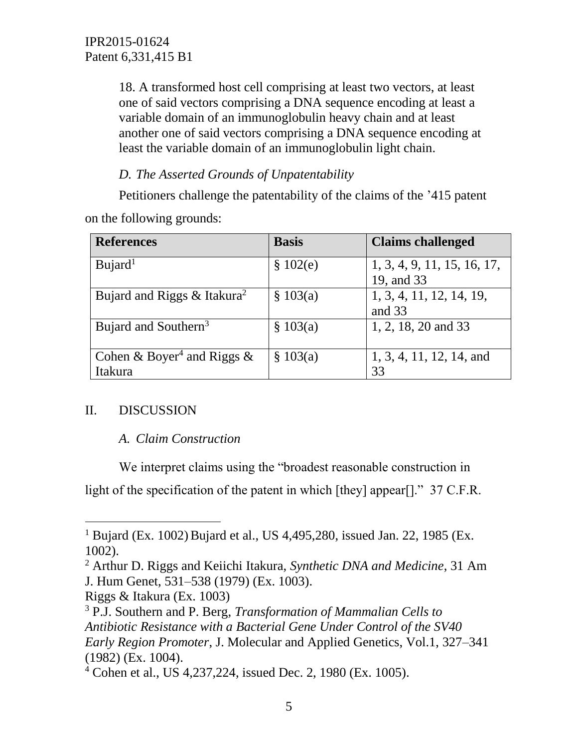18. A transformed host cell comprising at least two vectors, at least one of said vectors comprising a DNA sequence encoding at least a variable domain of an immunoglobulin heavy chain and at least another one of said vectors comprising a DNA sequence encoding at least the variable domain of an immunoglobulin light chain.

# *D. The Asserted Grounds of Unpatentability*

Petitioners challenge the patentability of the claims of the '415 patent on the following grounds:

| <b>References</b>                      | <b>Basis</b> | <b>Claims challenged</b>    |
|----------------------------------------|--------------|-----------------------------|
| Bujard <sup>1</sup>                    | \$102(e)     | 1, 3, 4, 9, 11, 15, 16, 17, |
|                                        |              | 19, and 33                  |
| Bujard and Riggs $& Itakura2$          | \$103(a)     | 1, 3, 4, 11, 12, 14, 19,    |
|                                        |              | and 33                      |
| Bujard and Southern <sup>3</sup>       | \$103(a)     | 1, 2, 18, 20 and 33         |
|                                        |              |                             |
| Cohen & Boyer <sup>4</sup> and Riggs & | \$103(a)     | 1, 3, 4, 11, 12, 14, and    |
| Itakura                                |              | 33                          |

## II. DISCUSSION

l

## *A. Claim Construction*

We interpret claims using the "broadest reasonable construction in light of the specification of the patent in which [they] appear[]." 37 C.F.R.

<sup>&</sup>lt;sup>1</sup> Bujard (Ex. 1002) Bujard et al., US 4,495,280, issued Jan. 22, 1985 (Ex. 1002).

<sup>2</sup> Arthur D. Riggs and Keiichi Itakura, *Synthetic DNA and Medicine*, 31 Am J. Hum Genet, 531–538 (1979) (Ex. 1003).

Riggs & Itakura (Ex. 1003)

<sup>3</sup> P.J. Southern and P. Berg, *Transformation of Mammalian Cells to Antibiotic Resistance with a Bacterial Gene Under Control of the SV40 Early Region Promoter*, J. Molecular and Applied Genetics, Vol.1, 327–341 (1982) (Ex. 1004).

<sup>4</sup> Cohen et al., US 4,237,224, issued Dec. 2, 1980 (Ex. 1005).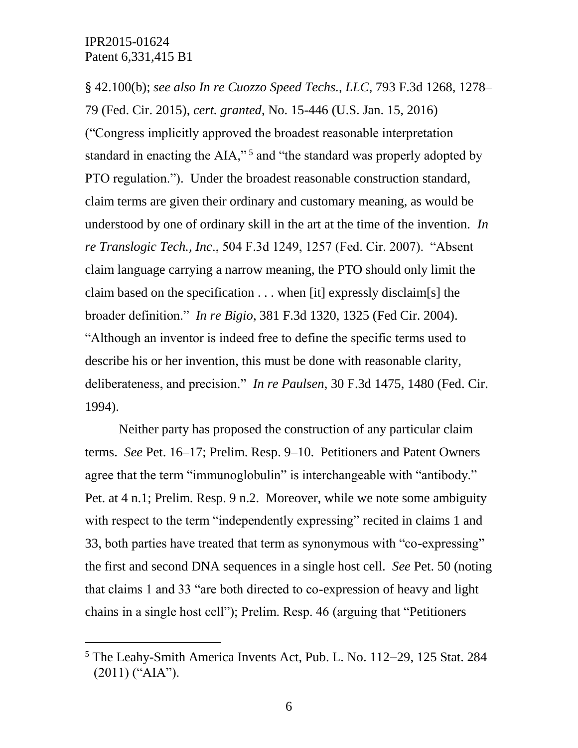$\overline{a}$ 

§ 42.100(b); *see also In re Cuozzo Speed Techs., LLC*, 793 F.3d 1268, 1278– 79 (Fed. Cir. 2015), *cert. granted*, No. 15-446 (U.S. Jan. 15, 2016) ("Congress implicitly approved the broadest reasonable interpretation standard in enacting the AIA,"<sup>5</sup> and "the standard was properly adopted by PTO regulation."). Under the broadest reasonable construction standard, claim terms are given their ordinary and customary meaning, as would be understood by one of ordinary skill in the art at the time of the invention. *In re Translogic Tech., Inc*., 504 F.3d 1249, 1257 (Fed. Cir. 2007). "Absent claim language carrying a narrow meaning, the PTO should only limit the claim based on the specification . . . when [it] expressly disclaim[s] the broader definition." *In re Bigio*, 381 F.3d 1320, 1325 (Fed Cir. 2004). "Although an inventor is indeed free to define the specific terms used to describe his or her invention, this must be done with reasonable clarity, deliberateness, and precision." *In re Paulsen*, 30 F.3d 1475, 1480 (Fed. Cir. 1994).

Neither party has proposed the construction of any particular claim terms. *See* Pet. 16–17; Prelim. Resp. 9–10. Petitioners and Patent Owners agree that the term "immunoglobulin" is interchangeable with "antibody." Pet. at 4 n.1; Prelim. Resp. 9 n.2. Moreover, while we note some ambiguity with respect to the term "independently expressing" recited in claims 1 and 33, both parties have treated that term as synonymous with "co-expressing" the first and second DNA sequences in a single host cell. *See* Pet. 50 (noting that claims 1 and 33 "are both directed to co-expression of heavy and light chains in a single host cell"); Prelim. Resp. 46 (arguing that "Petitioners

 $5$  The Leahy-Smith America Invents Act, Pub. L. No. 112–29, 125 Stat. 284 (2011) ("AIA").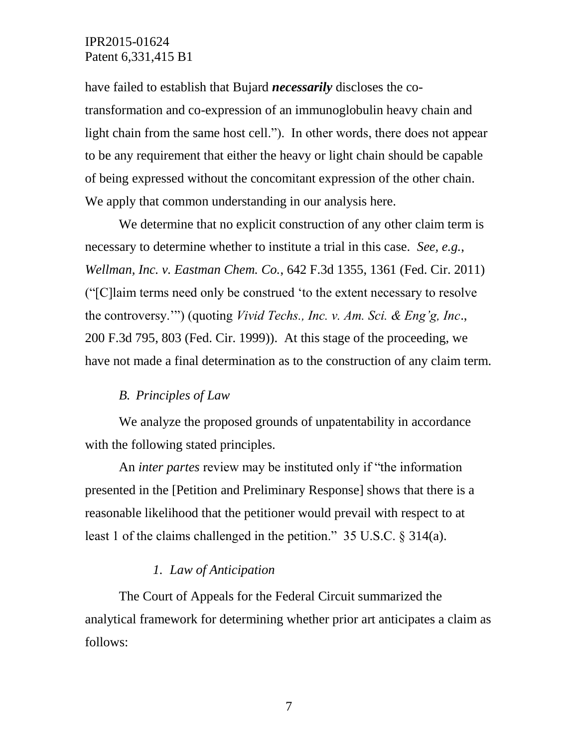have failed to establish that Bujard *necessarily* discloses the cotransformation and co-expression of an immunoglobulin heavy chain and light chain from the same host cell."). In other words, there does not appear to be any requirement that either the heavy or light chain should be capable of being expressed without the concomitant expression of the other chain. We apply that common understanding in our analysis here.

We determine that no explicit construction of any other claim term is necessary to determine whether to institute a trial in this case. *See, e.g.*, *Wellman, Inc. v. Eastman Chem. Co.*, 642 F.3d 1355, 1361 (Fed. Cir. 2011) ("[C]laim terms need only be construed 'to the extent necessary to resolve the controversy.'") (quoting *Vivid Techs., Inc. v. Am. Sci. & Eng'g, Inc*., 200 F.3d 795, 803 (Fed. Cir. 1999)). At this stage of the proceeding, we have not made a final determination as to the construction of any claim term.

### *B. Principles of Law*

We analyze the proposed grounds of unpatentability in accordance with the following stated principles.

An *inter partes* review may be instituted only if "the information presented in the [Petition and Preliminary Response] shows that there is a reasonable likelihood that the petitioner would prevail with respect to at least 1 of the claims challenged in the petition." 35 U.S.C. § 314(a).

### *1. Law of Anticipation*

The Court of Appeals for the Federal Circuit summarized the analytical framework for determining whether prior art anticipates a claim as follows: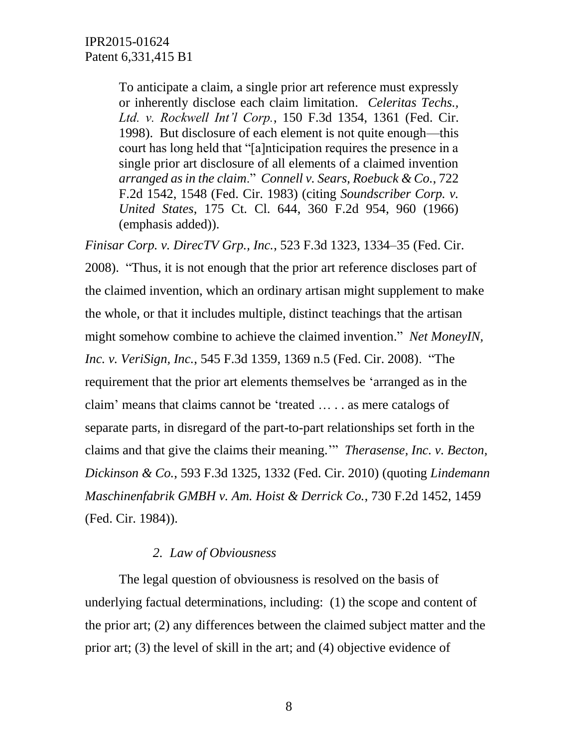To anticipate a claim, a single prior art reference must expressly or inherently disclose each claim limitation. *Celeritas Techs., Ltd. v. Rockwell Int'l Corp.*, 150 F.3d 1354, 1361 (Fed. Cir. 1998). But disclosure of each element is not quite enough—this court has long held that "[a]nticipation requires the presence in a single prior art disclosure of all elements of a claimed invention *arranged as in the claim*." *Connell v. Sears, Roebuck & Co.*, 722 F.2d 1542, 1548 (Fed. Cir. 1983) (citing *Soundscriber Corp. v. United States*, 175 Ct. Cl. 644, 360 F.2d 954, 960 (1966) (emphasis added)).

*Finisar Corp. v. DirecTV Grp., Inc.*, 523 F.3d 1323, 1334–35 (Fed. Cir. 2008). "Thus, it is not enough that the prior art reference discloses part of the claimed invention, which an ordinary artisan might supplement to make the whole, or that it includes multiple, distinct teachings that the artisan might somehow combine to achieve the claimed invention." *Net MoneyIN, Inc. v. VeriSign, Inc.*, 545 F.3d 1359, 1369 n.5 (Fed. Cir. 2008). "The requirement that the prior art elements themselves be 'arranged as in the claim' means that claims cannot be 'treated … . . as mere catalogs of separate parts, in disregard of the part-to-part relationships set forth in the claims and that give the claims their meaning.'" *Therasense, Inc. v. Becton, Dickinson & Co.*, 593 F.3d 1325, 1332 (Fed. Cir. 2010) (quoting *Lindemann Maschinenfabrik GMBH v. Am. Hoist & Derrick Co.*, 730 F.2d 1452, 1459 (Fed. Cir. 1984)).

## *2. Law of Obviousness*

The legal question of obviousness is resolved on the basis of underlying factual determinations, including: (1) the scope and content of the prior art; (2) any differences between the claimed subject matter and the prior art; (3) the level of skill in the art; and (4) objective evidence of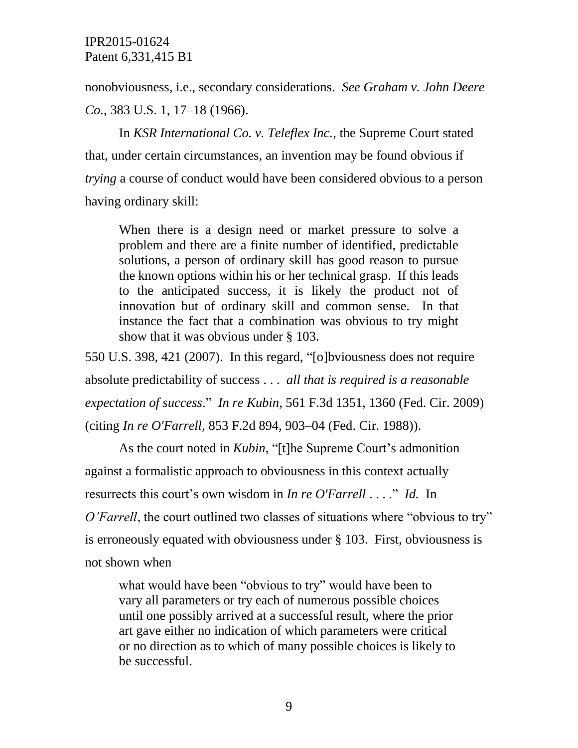nonobviousness, i.e., secondary considerations. *See Graham v. John Deere Co.*, 383 U.S. 1, 17–18 (1966).

In *KSR International Co. v. Teleflex Inc.*, the Supreme Court stated that, under certain circumstances, an invention may be found obvious if *trying* a course of conduct would have been considered obvious to a person having ordinary skill:

When there is a design need or market pressure to solve a problem and there are a finite number of identified, predictable solutions, a person of ordinary skill has good reason to pursue the known options within his or her technical grasp. If this leads to the anticipated success, it is likely the product not of innovation but of ordinary skill and common sense. In that instance the fact that a combination was obvious to try might show that it was obvious under § 103.

550 U.S. 398, 421 (2007). In this regard, "[o]bviousness does not require absolute predictability of success . . . *all that is required is a reasonable expectation of success*." *In re Kubin*, 561 F.3d 1351, 1360 (Fed. Cir. 2009) (citing *In re O'Farrell*, 853 F.2d 894, 903–04 (Fed. Cir. 1988)).

As the court noted in *Kubin*, "[t]he Supreme Court's admonition against a formalistic approach to obviousness in this context actually resurrects this court's own wisdom in *In re O'Farrell* . . . ." *Id.* In *O'Farrell*, the court outlined two classes of situations where "obvious to try" is erroneously equated with obviousness under § 103. First, obviousness is not shown when

what would have been "obvious to try" would have been to vary all parameters or try each of numerous possible choices until one possibly arrived at a successful result, where the prior art gave either no indication of which parameters were critical or no direction as to which of many possible choices is likely to be successful.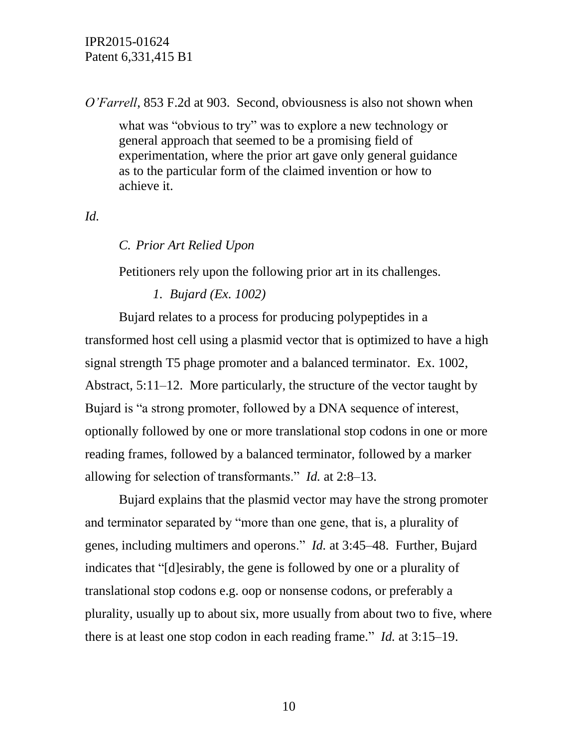*O'Farrell*, 853 F.2d at 903. Second, obviousness is also not shown when

what was "obvious to try" was to explore a new technology or general approach that seemed to be a promising field of experimentation, where the prior art gave only general guidance as to the particular form of the claimed invention or how to achieve it.

## *Id.*

## *C. Prior Art Relied Upon*

Petitioners rely upon the following prior art in its challenges.

### *1. Bujard (Ex. 1002)*

Bujard relates to a process for producing polypeptides in a transformed host cell using a plasmid vector that is optimized to have a high signal strength T5 phage promoter and a balanced terminator. Ex. 1002, Abstract, 5:11–12. More particularly, the structure of the vector taught by Bujard is "a strong promoter, followed by a DNA sequence of interest, optionally followed by one or more translational stop codons in one or more reading frames, followed by a balanced terminator, followed by a marker allowing for selection of transformants." *Id.* at 2:8–13.

Bujard explains that the plasmid vector may have the strong promoter and terminator separated by "more than one gene, that is, a plurality of genes, including multimers and operons." *Id.* at 3:45–48. Further, Bujard indicates that "[d]esirably, the gene is followed by one or a plurality of translational stop codons e.g. oop or nonsense codons, or preferably a plurality, usually up to about six, more usually from about two to five, where there is at least one stop codon in each reading frame." *Id.* at 3:15–19.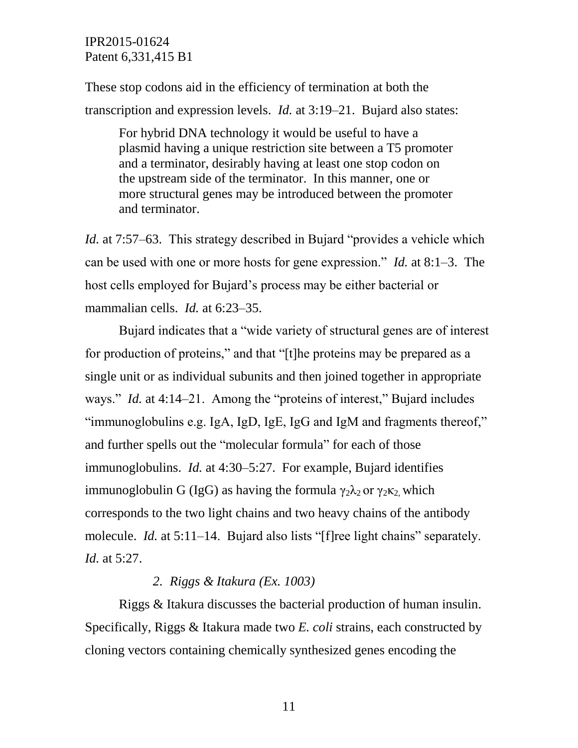These stop codons aid in the efficiency of termination at both the transcription and expression levels. *Id.* at 3:19–21. Bujard also states:

For hybrid DNA technology it would be useful to have a plasmid having a unique restriction site between a T5 promoter and a terminator, desirably having at least one stop codon on the upstream side of the terminator. In this manner, one or more structural genes may be introduced between the promoter and terminator.

*Id.* at 7:57–63. This strategy described in Bujard "provides a vehicle which can be used with one or more hosts for gene expression." *Id.* at 8:1–3. The host cells employed for Bujard's process may be either bacterial or mammalian cells. *Id.* at 6:23–35.

Bujard indicates that a "wide variety of structural genes are of interest for production of proteins," and that "[t]he proteins may be prepared as a single unit or as individual subunits and then joined together in appropriate ways." *Id.* at 4:14–21. Among the "proteins of interest," Bujard includes "immunoglobulins e.g. IgA, IgD, IgE, IgG and IgM and fragments thereof," and further spells out the "molecular formula" for each of those immunoglobulins. *Id.* at 4:30–5:27. For example, Bujard identifies immunoglobulin G (IgG) as having the formula  $\gamma_2 \lambda_2$  or  $\gamma_2 \kappa_2$  which corresponds to the two light chains and two heavy chains of the antibody molecule. *Id.* at 5:11–14. Bujard also lists "[f]ree light chains" separately. *Id.* at 5:27.

### *2. Riggs & Itakura (Ex. 1003)*

Riggs & Itakura discusses the bacterial production of human insulin. Specifically, Riggs & Itakura made two *E. coli* strains, each constructed by cloning vectors containing chemically synthesized genes encoding the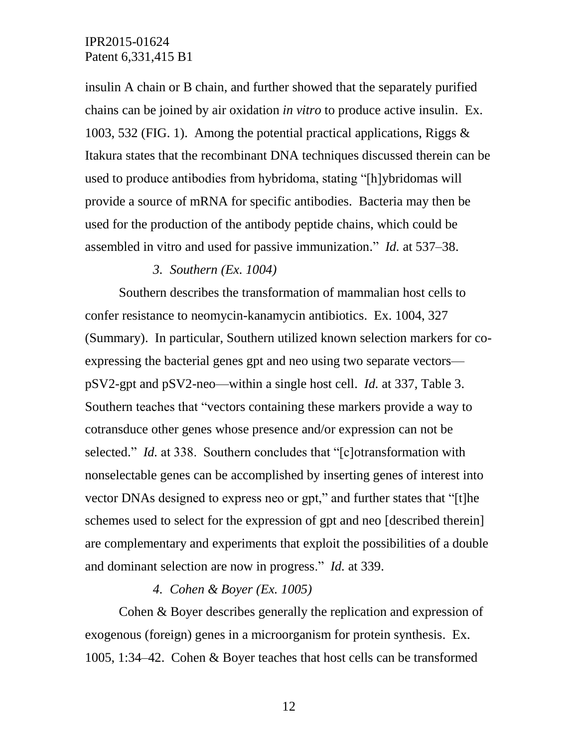insulin A chain or B chain, and further showed that the separately purified chains can be joined by air oxidation *in vitro* to produce active insulin. Ex. 1003, 532 (FIG. 1). Among the potential practical applications, Riggs & Itakura states that the recombinant DNA techniques discussed therein can be used to produce antibodies from hybridoma, stating "[h]ybridomas will provide a source of mRNA for specific antibodies. Bacteria may then be used for the production of the antibody peptide chains, which could be assembled in vitro and used for passive immunization." *Id.* at 537–38.

#### *3. Southern (Ex. 1004)*

Southern describes the transformation of mammalian host cells to confer resistance to neomycin-kanamycin antibiotics. Ex. 1004, 327 (Summary). In particular, Southern utilized known selection markers for coexpressing the bacterial genes gpt and neo using two separate vectors pSV2-gpt and pSV2-neo—within a single host cell. *Id.* at 337, Table 3. Southern teaches that "vectors containing these markers provide a way to cotransduce other genes whose presence and/or expression can not be selected." *Id.* at 338. Southern concludes that "[c]otransformation with nonselectable genes can be accomplished by inserting genes of interest into vector DNAs designed to express neo or gpt," and further states that "[t]he schemes used to select for the expression of gpt and neo [described therein] are complementary and experiments that exploit the possibilities of a double and dominant selection are now in progress." *Id.* at 339.

### *4. Cohen & Boyer (Ex. 1005)*

Cohen & Boyer describes generally the replication and expression of exogenous (foreign) genes in a microorganism for protein synthesis. Ex. 1005, 1:34–42. Cohen & Boyer teaches that host cells can be transformed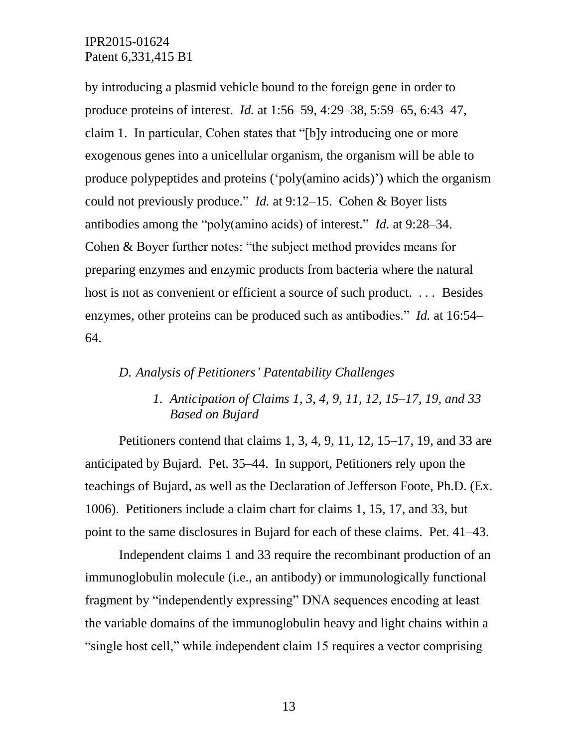by introducing a plasmid vehicle bound to the foreign gene in order to produce proteins of interest. *Id.* at 1:56–59, 4:29–38, 5:59–65, 6:43–47, claim 1. In particular, Cohen states that "[b]y introducing one or more exogenous genes into a unicellular organism, the organism will be able to produce polypeptides and proteins ('poly(amino acids)') which the organism could not previously produce." *Id.* at 9:12–15. Cohen & Boyer lists antibodies among the "poly(amino acids) of interest." *Id.* at 9:28–34. Cohen & Boyer further notes: "the subject method provides means for preparing enzymes and enzymic products from bacteria where the natural host is not as convenient or efficient a source of such product. ... Besides enzymes, other proteins can be produced such as antibodies." *Id.* at 16:54– 64.

### *D. Analysis of Petitioners' Patentability Challenges*

# *1. Anticipation of Claims 1, 3, 4, 9, 11, 12, 15–17, 19, and 33 Based on Bujard*

Petitioners contend that claims 1, 3, 4, 9, 11, 12, 15–17, 19, and 33 are anticipated by Bujard. Pet. 35–44. In support, Petitioners rely upon the teachings of Bujard, as well as the Declaration of Jefferson Foote, Ph.D. (Ex. 1006). Petitioners include a claim chart for claims 1, 15, 17, and 33, but point to the same disclosures in Bujard for each of these claims. Pet. 41–43.

Independent claims 1 and 33 require the recombinant production of an immunoglobulin molecule (i.e., an antibody) or immunologically functional fragment by "independently expressing" DNA sequences encoding at least the variable domains of the immunoglobulin heavy and light chains within a "single host cell," while independent claim 15 requires a vector comprising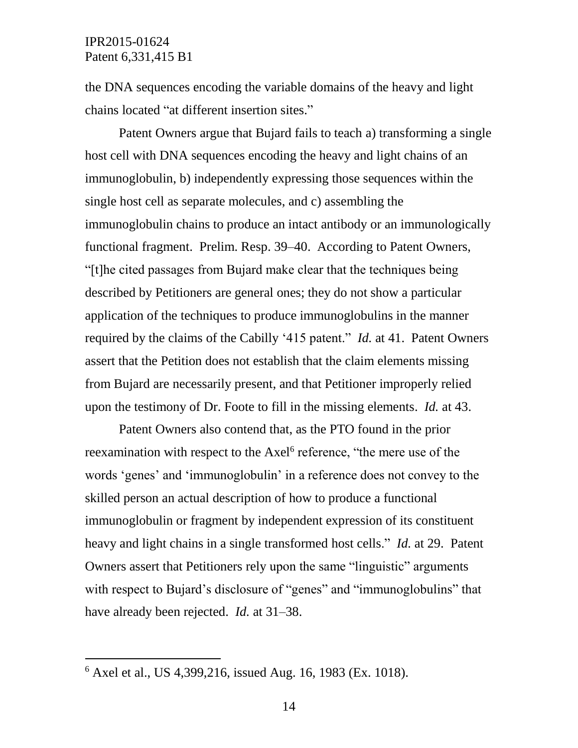the DNA sequences encoding the variable domains of the heavy and light chains located "at different insertion sites."

Patent Owners argue that Bujard fails to teach a) transforming a single host cell with DNA sequences encoding the heavy and light chains of an immunoglobulin, b) independently expressing those sequences within the single host cell as separate molecules, and c) assembling the immunoglobulin chains to produce an intact antibody or an immunologically functional fragment. Prelim. Resp. 39–40. According to Patent Owners, "[t]he cited passages from Bujard make clear that the techniques being described by Petitioners are general ones; they do not show a particular application of the techniques to produce immunoglobulins in the manner required by the claims of the Cabilly '415 patent." *Id.* at 41. Patent Owners assert that the Petition does not establish that the claim elements missing from Bujard are necessarily present, and that Petitioner improperly relied upon the testimony of Dr. Foote to fill in the missing elements. *Id.* at 43.

Patent Owners also contend that, as the PTO found in the prior reexamination with respect to the Axel<sup>6</sup> reference, "the mere use of the words 'genes' and 'immunoglobulin' in a reference does not convey to the skilled person an actual description of how to produce a functional immunoglobulin or fragment by independent expression of its constituent heavy and light chains in a single transformed host cells." *Id.* at 29. Patent Owners assert that Petitioners rely upon the same "linguistic" arguments with respect to Bujard's disclosure of "genes" and "immunoglobulins" that have already been rejected. *Id.* at 31–38.

 $\overline{a}$ 

<sup>6</sup> Axel et al., US 4,399,216, issued Aug. 16, 1983 (Ex. 1018).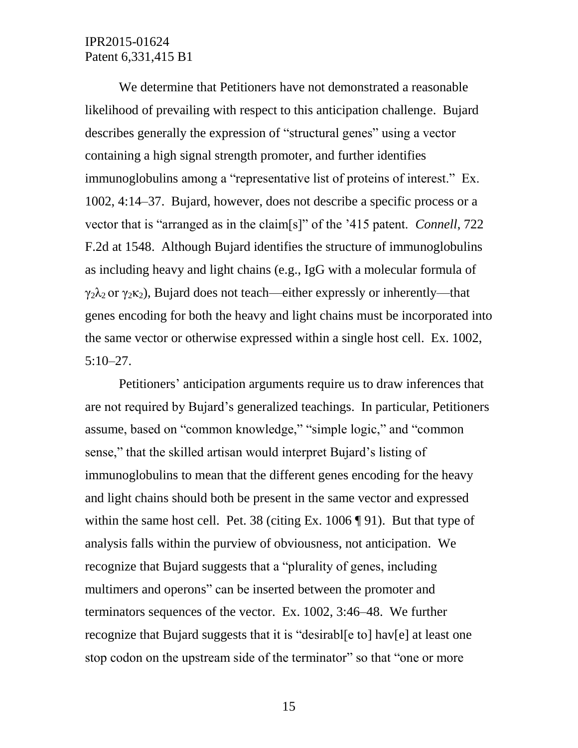We determine that Petitioners have not demonstrated a reasonable likelihood of prevailing with respect to this anticipation challenge. Bujard describes generally the expression of "structural genes" using a vector containing a high signal strength promoter, and further identifies immunoglobulins among a "representative list of proteins of interest." Ex. 1002, 4:14–37. Bujard, however, does not describe a specific process or a vector that is "arranged as in the claim[s]" of the '415 patent. *Connell*, 722 F.2d at 1548. Although Bujard identifies the structure of immunoglobulins as including heavy and light chains (e.g., IgG with a molecular formula of  $\gamma_2\lambda_2$  or  $\gamma_2\kappa_2$ ), Bujard does not teach—either expressly or inherently—that genes encoding for both the heavy and light chains must be incorporated into the same vector or otherwise expressed within a single host cell. Ex. 1002, 5:10–27.

Petitioners' anticipation arguments require us to draw inferences that are not required by Bujard's generalized teachings. In particular, Petitioners assume, based on "common knowledge," "simple logic," and "common sense," that the skilled artisan would interpret Bujard's listing of immunoglobulins to mean that the different genes encoding for the heavy and light chains should both be present in the same vector and expressed within the same host cell. Pet. 38 (citing Ex. 1006 [91). But that type of analysis falls within the purview of obviousness, not anticipation. We recognize that Bujard suggests that a "plurality of genes, including multimers and operons" can be inserted between the promoter and terminators sequences of the vector. Ex. 1002, 3:46–48. We further recognize that Bujard suggests that it is "desirabl[e to] hav[e] at least one stop codon on the upstream side of the terminator" so that "one or more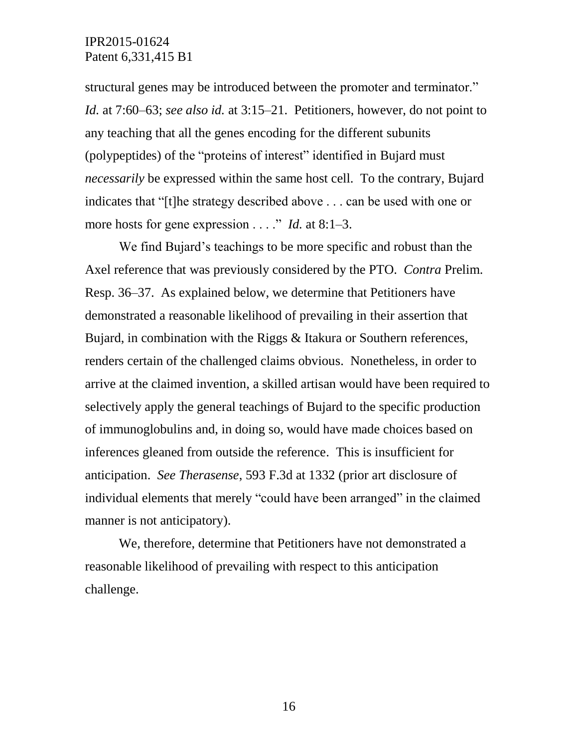structural genes may be introduced between the promoter and terminator." *Id.* at 7:60–63; *see also id.* at 3:15–21. Petitioners, however, do not point to any teaching that all the genes encoding for the different subunits (polypeptides) of the "proteins of interest" identified in Bujard must *necessarily* be expressed within the same host cell. To the contrary, Bujard indicates that "[t]he strategy described above . . . can be used with one or more hosts for gene expression . . . . " *Id.* at 8:1–3.

We find Bujard's teachings to be more specific and robust than the Axel reference that was previously considered by the PTO. *Contra* Prelim. Resp. 36–37. As explained below, we determine that Petitioners have demonstrated a reasonable likelihood of prevailing in their assertion that Bujard, in combination with the Riggs & Itakura or Southern references, renders certain of the challenged claims obvious. Nonetheless, in order to arrive at the claimed invention, a skilled artisan would have been required to selectively apply the general teachings of Bujard to the specific production of immunoglobulins and, in doing so, would have made choices based on inferences gleaned from outside the reference. This is insufficient for anticipation. *See Therasense*, 593 F.3d at 1332 (prior art disclosure of individual elements that merely "could have been arranged" in the claimed manner is not anticipatory).

We, therefore, determine that Petitioners have not demonstrated a reasonable likelihood of prevailing with respect to this anticipation challenge.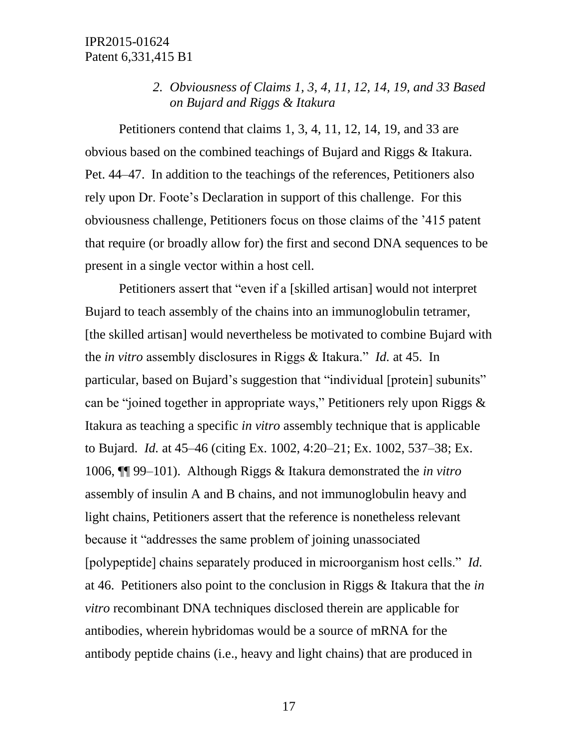## *2. Obviousness of Claims 1, 3, 4, 11, 12, 14, 19, and 33 Based on Bujard and Riggs & Itakura*

Petitioners contend that claims 1, 3, 4, 11, 12, 14, 19, and 33 are obvious based on the combined teachings of Bujard and Riggs & Itakura. Pet. 44–47. In addition to the teachings of the references, Petitioners also rely upon Dr. Foote's Declaration in support of this challenge. For this obviousness challenge, Petitioners focus on those claims of the '415 patent that require (or broadly allow for) the first and second DNA sequences to be present in a single vector within a host cell.

Petitioners assert that "even if a [skilled artisan] would not interpret Bujard to teach assembly of the chains into an immunoglobulin tetramer, [the skilled artisan] would nevertheless be motivated to combine Bujard with the *in vitro* assembly disclosures in Riggs & Itakura." *Id.* at 45. In particular, based on Bujard's suggestion that "individual [protein] subunits" can be "joined together in appropriate ways," Petitioners rely upon Riggs & Itakura as teaching a specific *in vitro* assembly technique that is applicable to Bujard. *Id.* at 45–46 (citing Ex. 1002, 4:20–21; Ex. 1002, 537–38; Ex. 1006, ¶¶ 99–101). Although Riggs & Itakura demonstrated the *in vitro* assembly of insulin A and B chains, and not immunoglobulin heavy and light chains, Petitioners assert that the reference is nonetheless relevant because it "addresses the same problem of joining unassociated [polypeptide] chains separately produced in microorganism host cells." *Id.* at 46. Petitioners also point to the conclusion in Riggs & Itakura that the *in vitro* recombinant DNA techniques disclosed therein are applicable for antibodies, wherein hybridomas would be a source of mRNA for the antibody peptide chains (i.e., heavy and light chains) that are produced in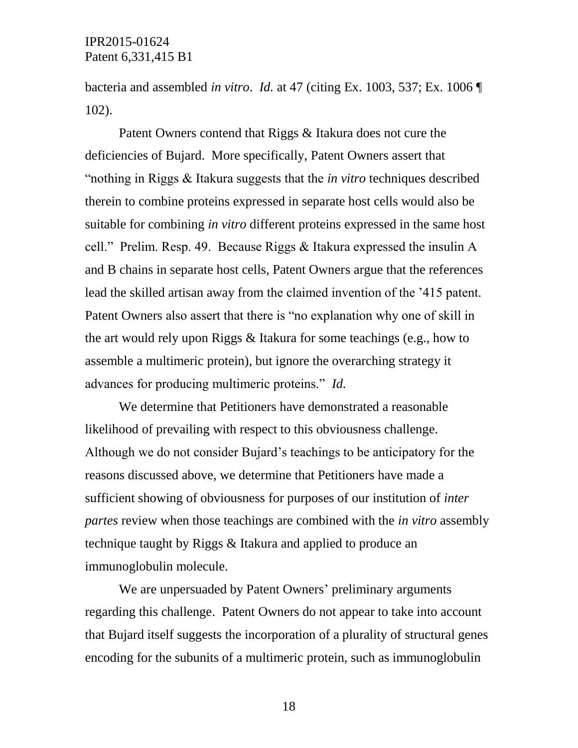bacteria and assembled *in vitro*. *Id.* at 47 (citing Ex. 1003, 537; Ex. 1006 ¶ 102).

Patent Owners contend that Riggs & Itakura does not cure the deficiencies of Bujard. More specifically, Patent Owners assert that "nothing in Riggs & Itakura suggests that the *in vitro* techniques described therein to combine proteins expressed in separate host cells would also be suitable for combining *in vitro* different proteins expressed in the same host cell." Prelim. Resp. 49. Because Riggs & Itakura expressed the insulin A and B chains in separate host cells, Patent Owners argue that the references lead the skilled artisan away from the claimed invention of the '415 patent. Patent Owners also assert that there is "no explanation why one of skill in the art would rely upon Riggs & Itakura for some teachings (e.g., how to assemble a multimeric protein), but ignore the overarching strategy it advances for producing multimeric proteins." *Id.*

We determine that Petitioners have demonstrated a reasonable likelihood of prevailing with respect to this obviousness challenge. Although we do not consider Bujard's teachings to be anticipatory for the reasons discussed above, we determine that Petitioners have made a sufficient showing of obviousness for purposes of our institution of *inter partes* review when those teachings are combined with the *in vitro* assembly technique taught by Riggs & Itakura and applied to produce an immunoglobulin molecule.

We are unpersuaded by Patent Owners' preliminary arguments regarding this challenge. Patent Owners do not appear to take into account that Bujard itself suggests the incorporation of a plurality of structural genes encoding for the subunits of a multimeric protein, such as immunoglobulin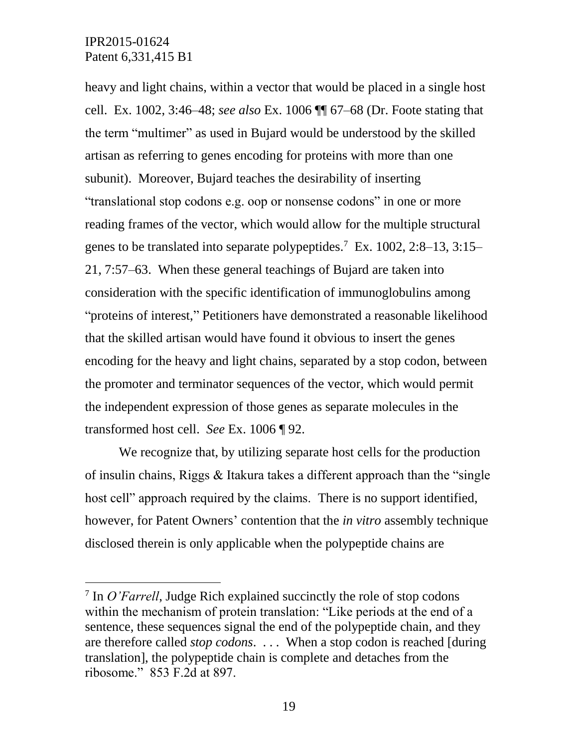l

heavy and light chains, within a vector that would be placed in a single host cell. Ex. 1002, 3:46–48; *see also* Ex. 1006 ¶¶ 67–68 (Dr. Foote stating that the term "multimer" as used in Bujard would be understood by the skilled artisan as referring to genes encoding for proteins with more than one subunit). Moreover, Bujard teaches the desirability of inserting "translational stop codons e.g. oop or nonsense codons" in one or more reading frames of the vector, which would allow for the multiple structural genes to be translated into separate polypeptides.<sup>7</sup> Ex. 1002, 2:8–13, 3:15– 21, 7:57–63. When these general teachings of Bujard are taken into consideration with the specific identification of immunoglobulins among "proteins of interest," Petitioners have demonstrated a reasonable likelihood that the skilled artisan would have found it obvious to insert the genes encoding for the heavy and light chains, separated by a stop codon, between the promoter and terminator sequences of the vector, which would permit the independent expression of those genes as separate molecules in the transformed host cell. *See* Ex. 1006 ¶ 92.

We recognize that, by utilizing separate host cells for the production of insulin chains, Riggs & Itakura takes a different approach than the "single host cell" approach required by the claims. There is no support identified, however, for Patent Owners' contention that the *in vitro* assembly technique disclosed therein is only applicable when the polypeptide chains are

<sup>&</sup>lt;sup>7</sup> In *O'Farrell*, Judge Rich explained succinctly the role of stop codons within the mechanism of protein translation: "Like periods at the end of a sentence, these sequences signal the end of the polypeptide chain, and they are therefore called *stop codons*. . . . When a stop codon is reached [during translation], the polypeptide chain is complete and detaches from the ribosome." 853 F.2d at 897.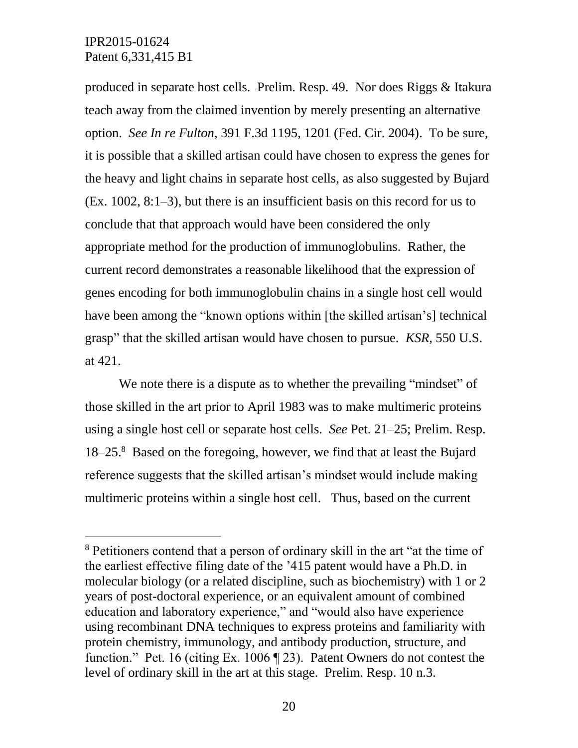$\overline{a}$ 

produced in separate host cells. Prelim. Resp. 49. Nor does Riggs & Itakura teach away from the claimed invention by merely presenting an alternative option. *See In re Fulton*, 391 F.3d 1195, 1201 (Fed. Cir. 2004). To be sure, it is possible that a skilled artisan could have chosen to express the genes for the heavy and light chains in separate host cells, as also suggested by Bujard (Ex. 1002, 8:1–3), but there is an insufficient basis on this record for us to conclude that that approach would have been considered the only appropriate method for the production of immunoglobulins. Rather, the current record demonstrates a reasonable likelihood that the expression of genes encoding for both immunoglobulin chains in a single host cell would have been among the "known options within [the skilled artisan's] technical grasp" that the skilled artisan would have chosen to pursue. *KSR*, 550 U.S. at 421.

We note there is a dispute as to whether the prevailing "mindset" of those skilled in the art prior to April 1983 was to make multimeric proteins using a single host cell or separate host cells. *See* Pet. 21–25; Prelim. Resp. 18–25.<sup>8</sup> Based on the foregoing, however, we find that at least the Bujard reference suggests that the skilled artisan's mindset would include making multimeric proteins within a single host cell. Thus, based on the current

<sup>8</sup> Petitioners contend that a person of ordinary skill in the art "at the time of the earliest effective filing date of the '415 patent would have a Ph.D. in molecular biology (or a related discipline, such as biochemistry) with 1 or 2 years of post-doctoral experience, or an equivalent amount of combined education and laboratory experience," and "would also have experience using recombinant DNA techniques to express proteins and familiarity with protein chemistry, immunology, and antibody production, structure, and function." Pet. 16 (citing Ex. 1006 ¶ 23). Patent Owners do not contest the level of ordinary skill in the art at this stage. Prelim. Resp. 10 n.3.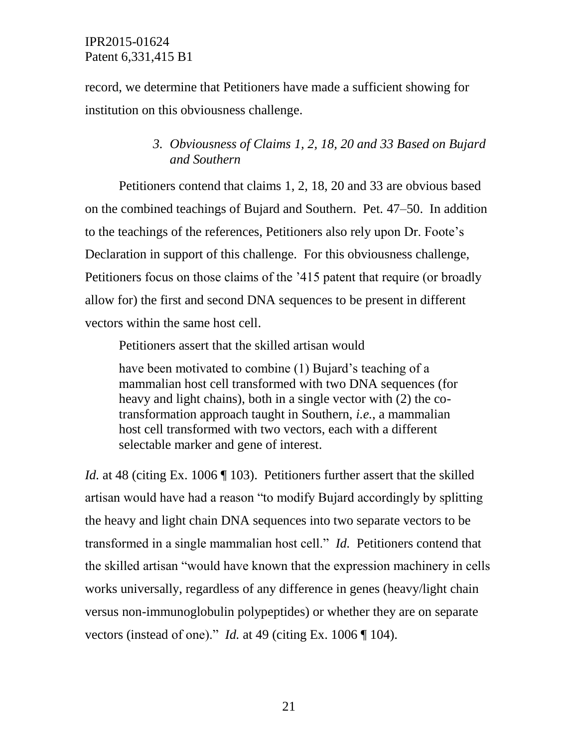record, we determine that Petitioners have made a sufficient showing for institution on this obviousness challenge.

## *3. Obviousness of Claims 1, 2, 18, 20 and 33 Based on Bujard and Southern*

Petitioners contend that claims 1, 2, 18, 20 and 33 are obvious based on the combined teachings of Bujard and Southern. Pet. 47–50. In addition to the teachings of the references, Petitioners also rely upon Dr. Foote's Declaration in support of this challenge. For this obviousness challenge, Petitioners focus on those claims of the '415 patent that require (or broadly allow for) the first and second DNA sequences to be present in different vectors within the same host cell.

Petitioners assert that the skilled artisan would

have been motivated to combine (1) Bujard's teaching of a mammalian host cell transformed with two DNA sequences (for heavy and light chains), both in a single vector with (2) the cotransformation approach taught in Southern, *i.e.*, a mammalian host cell transformed with two vectors, each with a different selectable marker and gene of interest.

*Id.* at 48 (citing Ex. 1006 ¶ 103). Petitioners further assert that the skilled artisan would have had a reason "to modify Bujard accordingly by splitting the heavy and light chain DNA sequences into two separate vectors to be transformed in a single mammalian host cell." *Id.* Petitioners contend that the skilled artisan "would have known that the expression machinery in cells works universally, regardless of any difference in genes (heavy/light chain versus non-immunoglobulin polypeptides) or whether they are on separate vectors (instead of one)." *Id.* at 49 (citing Ex. 1006 ¶ 104).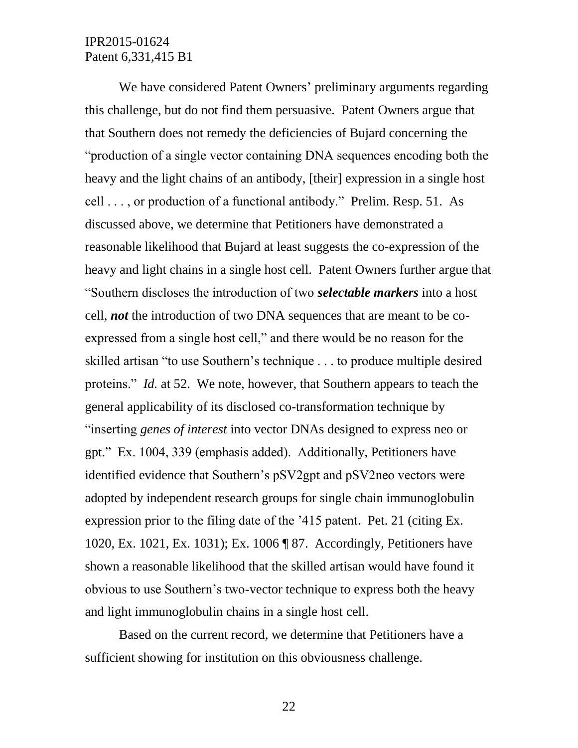We have considered Patent Owners' preliminary arguments regarding this challenge, but do not find them persuasive. Patent Owners argue that that Southern does not remedy the deficiencies of Bujard concerning the "production of a single vector containing DNA sequences encoding both the heavy and the light chains of an antibody, [their] expression in a single host cell . . . , or production of a functional antibody." Prelim. Resp. 51. As discussed above, we determine that Petitioners have demonstrated a reasonable likelihood that Bujard at least suggests the co-expression of the heavy and light chains in a single host cell. Patent Owners further argue that "Southern discloses the introduction of two *selectable markers* into a host cell, *not* the introduction of two DNA sequences that are meant to be coexpressed from a single host cell," and there would be no reason for the skilled artisan "to use Southern's technique . . . to produce multiple desired proteins." *Id.* at 52. We note, however, that Southern appears to teach the general applicability of its disclosed co-transformation technique by "inserting *genes of interest* into vector DNAs designed to express neo or gpt." Ex. 1004, 339 (emphasis added). Additionally, Petitioners have identified evidence that Southern's pSV2gpt and pSV2neo vectors were adopted by independent research groups for single chain immunoglobulin expression prior to the filing date of the '415 patent. Pet. 21 (citing Ex. 1020, Ex. 1021, Ex. 1031); Ex. 1006 ¶ 87. Accordingly, Petitioners have shown a reasonable likelihood that the skilled artisan would have found it obvious to use Southern's two-vector technique to express both the heavy and light immunoglobulin chains in a single host cell.

Based on the current record, we determine that Petitioners have a sufficient showing for institution on this obviousness challenge.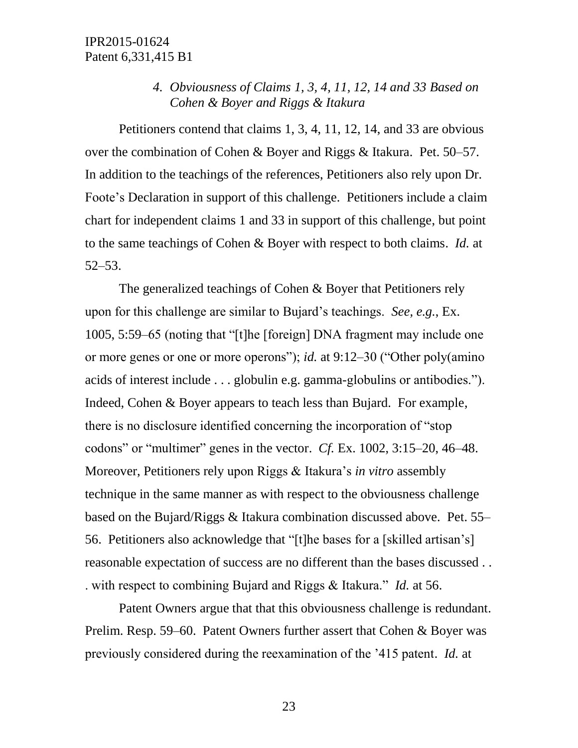# *4. Obviousness of Claims 1, 3, 4, 11, 12, 14 and 33 Based on Cohen & Boyer and Riggs & Itakura*

Petitioners contend that claims 1, 3, 4, 11, 12, 14, and 33 are obvious over the combination of Cohen & Boyer and Riggs & Itakura. Pet. 50–57. In addition to the teachings of the references, Petitioners also rely upon Dr. Foote's Declaration in support of this challenge. Petitioners include a claim chart for independent claims 1 and 33 in support of this challenge, but point to the same teachings of Cohen & Boyer with respect to both claims. *Id.* at 52–53.

The generalized teachings of Cohen & Boyer that Petitioners rely upon for this challenge are similar to Bujard's teachings. *See, e.g.*, Ex. 1005, 5:59–65 (noting that "[t]he [foreign] DNA fragment may include one or more genes or one or more operons"); *id.* at 9:12–30 ("Other poly(amino acids of interest include . . . globulin e.g. gamma-globulins or antibodies."). Indeed, Cohen & Boyer appears to teach less than Bujard. For example, there is no disclosure identified concerning the incorporation of "stop codons" or "multimer" genes in the vector. *Cf.* Ex. 1002, 3:15–20, 46–48. Moreover, Petitioners rely upon Riggs & Itakura's *in vitro* assembly technique in the same manner as with respect to the obviousness challenge based on the Bujard/Riggs & Itakura combination discussed above. Pet. 55– 56. Petitioners also acknowledge that "[t]he bases for a [skilled artisan's] reasonable expectation of success are no different than the bases discussed . . . with respect to combining Bujard and Riggs & Itakura." *Id.* at 56.

Patent Owners argue that that this obviousness challenge is redundant. Prelim. Resp. 59–60. Patent Owners further assert that Cohen & Boyer was previously considered during the reexamination of the '415 patent. *Id.* at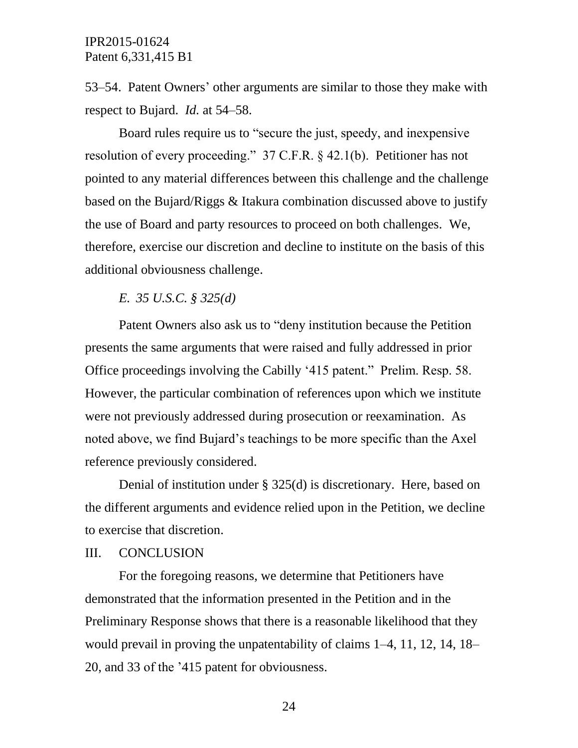53–54. Patent Owners' other arguments are similar to those they make with respect to Bujard. *Id.* at 54–58.

Board rules require us to "secure the just, speedy, and inexpensive resolution of every proceeding." 37 C.F.R. § 42.1(b). Petitioner has not pointed to any material differences between this challenge and the challenge based on the Bujard/Riggs & Itakura combination discussed above to justify the use of Board and party resources to proceed on both challenges. We, therefore, exercise our discretion and decline to institute on the basis of this additional obviousness challenge.

*E. 35 U.S.C. § 325(d)*

Patent Owners also ask us to "deny institution because the Petition presents the same arguments that were raised and fully addressed in prior Office proceedings involving the Cabilly '415 patent." Prelim. Resp. 58. However, the particular combination of references upon which we institute were not previously addressed during prosecution or reexamination. As noted above, we find Bujard's teachings to be more specific than the Axel reference previously considered.

Denial of institution under § 325(d) is discretionary. Here, based on the different arguments and evidence relied upon in the Petition, we decline to exercise that discretion.

#### III. CONCLUSION

For the foregoing reasons, we determine that Petitioners have demonstrated that the information presented in the Petition and in the Preliminary Response shows that there is a reasonable likelihood that they would prevail in proving the unpatentability of claims 1–4, 11, 12, 14, 18– 20, and 33 of the '415 patent for obviousness.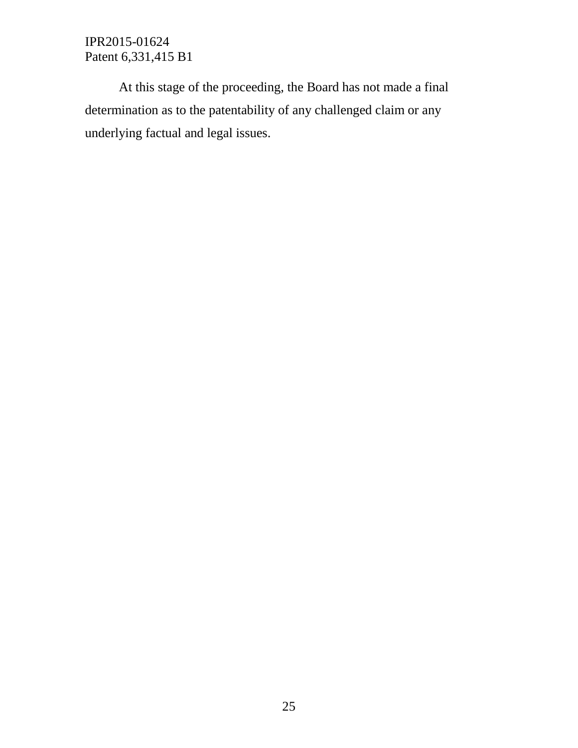At this stage of the proceeding, the Board has not made a final determination as to the patentability of any challenged claim or any underlying factual and legal issues.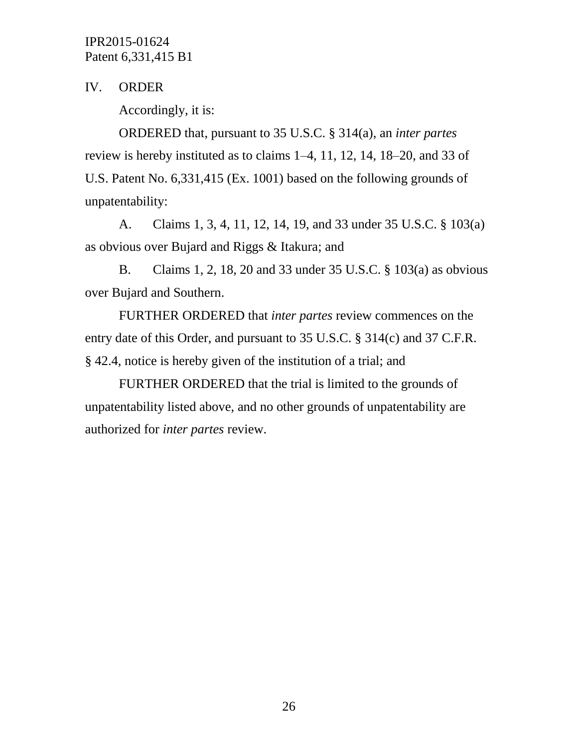IV. ORDER

Accordingly, it is:

ORDERED that, pursuant to 35 U.S.C. § 314(a), an *inter partes* review is hereby instituted as to claims 1–4, 11, 12, 14, 18–20, and 33 of U.S. Patent No. 6,331,415 (Ex. 1001) based on the following grounds of unpatentability:

A. Claims 1, 3, 4, 11, 12, 14, 19, and 33 under 35 U.S.C. § 103(a) as obvious over Bujard and Riggs & Itakura; and

B. Claims 1, 2, 18, 20 and 33 under 35 U.S.C. § 103(a) as obvious over Bujard and Southern.

FURTHER ORDERED that *inter partes* review commences on the entry date of this Order, and pursuant to 35 U.S.C. § 314(c) and 37 C.F.R. § 42.4, notice is hereby given of the institution of a trial; and

FURTHER ORDERED that the trial is limited to the grounds of unpatentability listed above, and no other grounds of unpatentability are authorized for *inter partes* review.